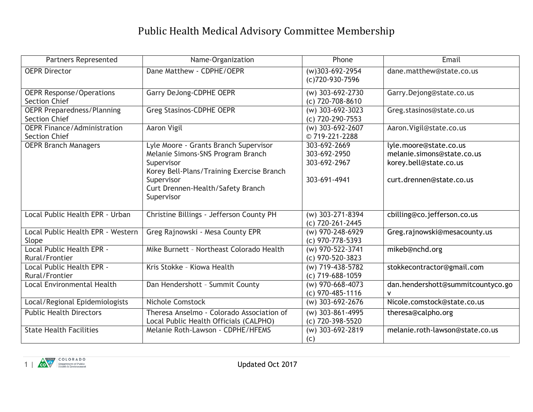## Public Health Medical Advisory Committee Membership

| <b>Partners Represented</b>                                | Name-Organization                                                                                          | Phone                                  | Email                                  |
|------------------------------------------------------------|------------------------------------------------------------------------------------------------------------|----------------------------------------|----------------------------------------|
| <b>OEPR Director</b>                                       | Dane Matthew - CDPHE/OEPR                                                                                  | (w)303-692-2954<br>(c)720-930-7596     | dane.matthew@state.co.us               |
| <b>OEPR Response/Operations</b><br><b>Section Chief</b>    | <b>Garry DeJong-CDPHE OEPR</b>                                                                             | (w) 303-692-2730<br>(c) 720-708-8610   | Garry.Dejong@state.co.us               |
| <b>OEPR Preparedness/Planning</b><br><b>Section Chief</b>  | Greg Stasinos-CDPHE OEPR                                                                                   | (w) 303-692-3023<br>(c) 720-290-7553   | Greg.stasinos@state.co.us              |
| <b>OEPR Finance/Administration</b><br><b>Section Chief</b> | <b>Aaron Vigil</b>                                                                                         | (w) 303-692-2607<br>©719-221-2288      | Aaron. Vigil@state.co.us               |
| <b>OEPR Branch Managers</b>                                | Lyle Moore - Grants Branch Supervisor                                                                      | 303-692-2669                           | lyle.moore@state.co.us                 |
|                                                            | Melanie Simons-SNS Program Branch                                                                          | 303-692-2950                           | melanie.simons@state.co.us             |
|                                                            | Supervisor                                                                                                 | 303-692-2967                           | korey.bell@state.co.us                 |
|                                                            | Korey Bell-Plans/Training Exercise Branch<br>Supervisor<br>Curt Drennen-Health/Safety Branch<br>Supervisor | 303-691-4941                           | curt.drennen@state.co.us               |
| Local Public Health EPR - Urban                            | Christine Billings - Jefferson County PH                                                                   | $(w)$ 303-271-8394<br>(c) 720-261-2445 | cbilling@co.jefferson.co.us            |
| Local Public Health EPR - Western<br>Slope                 | Greg Rajnowski - Mesa County EPR                                                                           | (w) 970-248-6929<br>(c) 970-778-5393   | Greg.rajnowski@mesacounty.us           |
| Local Public Health EPR -<br>Rural/Frontier                | Mike Burnett - Northeast Colorado Health                                                                   | (w) 970-522-3741<br>(c) 970-520-3823   | mikeb@nchd.org                         |
| Local Public Health EPR -<br>Rural/Frontier                | Kris Stokke - Kiowa Health                                                                                 | (w) 719-438-5782<br>(c) 719-688-1059   | stokkecontractor@gmail.com             |
| <b>Local Environmental Health</b>                          | Dan Hendershott - Summit County                                                                            | (w) 970-668-4073<br>(c) 970-485-1116   | dan.hendershott@summitcountyco.go<br>v |
| Local/Regional Epidemiologists                             | Nichole Comstock                                                                                           | (w) 303-692-2676                       | Nicole.comstock@state.co.us            |
| <b>Public Health Directors</b>                             | Theresa Anselmo - Colorado Association of<br>Local Public Health Officials (CALPHO)                        | (w) 303-861-4995<br>(c) 720-398-5520   | theresa@calpho.org                     |
| <b>State Health Facilities</b>                             | Melanie Roth-Lawson - CDPHE/HFEMS                                                                          | (w) 303-692-2819<br>(c)                | melanie.roth-lawson@state.co.us        |

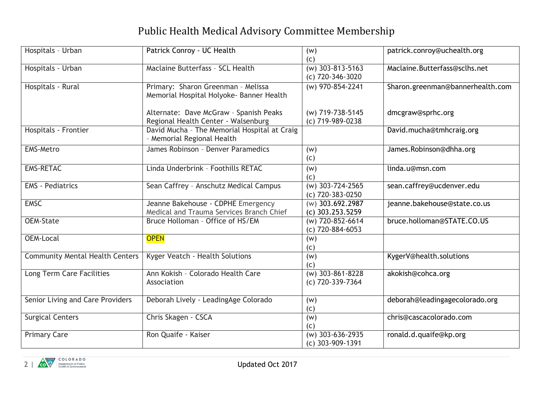## Public Health Medical Advisory Committee Membership

| Hospitals - Urban                      | Patrick Conroy - UC Health                                                     | (w)<br>(C)                             | patrick.conroy@uchealth.org      |
|----------------------------------------|--------------------------------------------------------------------------------|----------------------------------------|----------------------------------|
| Hospitals - Urban                      | Maclaine Butterfass - SCL Health                                               | $(W)$ 303-813-5163<br>(c) 720-346-3020 | Maclaine.Butterfass@sclhs.net    |
| Hospitals - Rural                      | Primary: Sharon Greenman - Melissa<br>Memorial Hospital Holyoke- Banner Health | (w) 970-854-2241                       | Sharon.greenman@bannerhealth.com |
|                                        | Alternate: Dave McGraw - Spanish Peaks<br>Regional Health Center - Walsenburg  | (w) 719-738-5145<br>(c) 719-989-0238   | dmcgraw@sprhc.org                |
| Hospitals - Frontier                   | David Mucha - The Memorial Hospital at Craig<br>- Memorial Regional Health     |                                        | David.mucha@tmhcraig.org         |
| <b>EMS-Metro</b>                       | James Robinson - Denver Paramedics                                             | (w)<br>(c)                             | James.Robinson@dhha.org          |
| <b>EMS-RETAC</b>                       | Linda Underbrink - Foothills RETAC                                             | (w)<br>(c)                             | linda.u@msn.com                  |
| <b>EMS</b> - Pediatrics                | Sean Caffrey - Anschutz Medical Campus                                         | $(w)$ 303-724-2565<br>(c) 720-383-0250 | sean.caffrey@ucdenver.edu        |
| <b>EMSC</b>                            | Jeanne Bakehouse - CDPHE Emergency<br>Medical and Trauma Services Branch Chief | (w) 303.692.2987<br>$(c)$ 303.253.5259 | jeanne.bakehouse@state.co.us     |
| <b>OEM-State</b>                       | Bruce Holloman - Office of HS/EM                                               | (w) 720-852-6614<br>(c) 720-884-6053   | bruce.holloman@STATE.CO.US       |
| <b>OEM-Local</b>                       | <b>OPEN</b>                                                                    | (w)<br>(c)                             |                                  |
| <b>Community Mental Health Centers</b> | Kyger Veatch - Health Solutions                                                | (w)<br>(c)                             | KygerV@health.solutions          |
| Long Term Care Facilities              | Ann Kokish - Colorado Health Care<br>Association                               | $(W)$ 303-861-8228<br>(c) 720-339-7364 | akokish@cohca.org                |
| Senior Living and Care Providers       | Deborah Lively - LeadingAge Colorado                                           | (w)<br>(c)                             | deborah@leadingagecolorado.org   |
| <b>Surgical Centers</b>                | Chris Skagen - CSCA                                                            | (w)<br>(c)                             | chris@cascacolorado.com          |
| <b>Primary Care</b>                    | Ron Quaife - Kaiser                                                            | $(W)$ 303-636-2935<br>(c) 303-909-1391 | ronald.d.quaife@kp.org           |